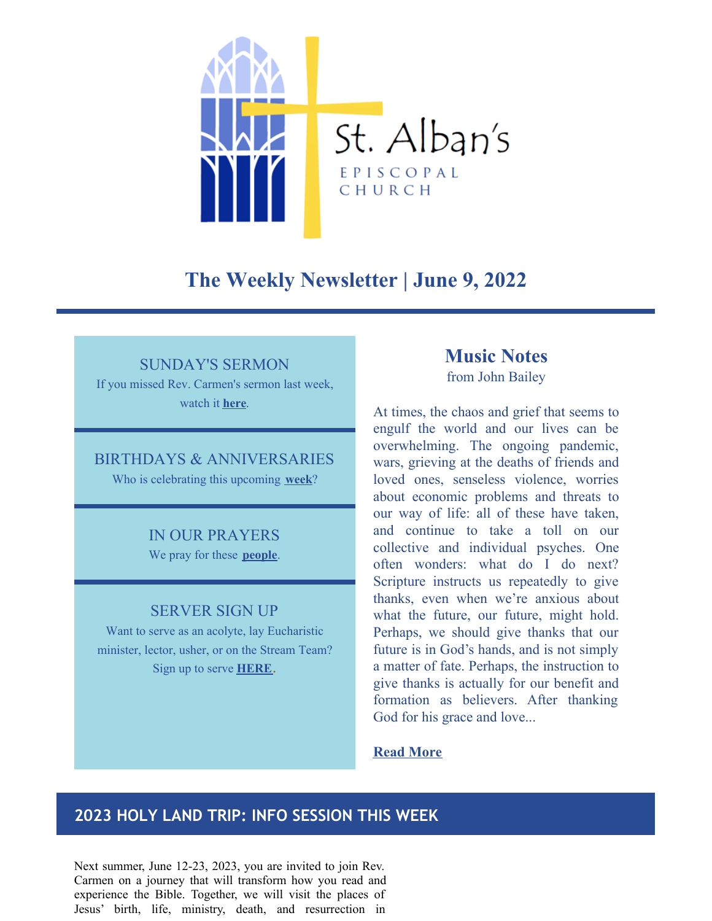

# **The Weekly Newsletter | June 9, 2022**

## SUNDAY'S SERMON

If you missed Rev. Carmen's sermon last week, watch it **[here](https://www.youtube.com/watch?v=APooEToIGl4)**.

### BIRTHDAYS & ANNIVERSARIES

Who is celebrating this upcoming **[week](https://www.saintalbansdavidson.org/birthdays-anniversaries)**?

### IN OUR PRAYERS

We pray for these **[people](https://www.saintalbansdavidson.org/newsletter-prayers)**.

### SERVER SIGN UP

Want to serve as an acolyte, lay Eucharistic minister, lector, usher, or on the Stream Team? Sign up to serve **[HERE](https://r20.rs6.net/tn.jsp?f=0015qEgFf05wEfAY4RB4E1StjELBG8vsgnMNXNBvoUFdWlaWSe7Fni5qHHF1VIPLFbj6569QOCMNFvXC4Cieij1jd8UffIaCatfahEFGx3Pkhj9EHBIT41pXeNj89pdWBxtrhUqftsxdHiNvINdQfSlFcej-3tnYd6vlXpNSzn8OccbwYHTi8mQlRslWsnom3e1&c=FgCCezo4m7gKVUFqpANBh2qO33fwu0E8t8pmC3RxLtz3w2z_ulP95w==&ch=pMmenthLU6t8B5eUHzp4Uaw5SqNq8wF-CL4KvUOXobL5VWrl19kpoQ==)**.

# **Music Notes**

from John Bailey

At times, the chaos and grief that seems to engulf the world and our lives can be overwhelming. The ongoing pandemic, wars, grieving at the deaths of friends and loved ones, senseless violence, worries about economic problems and threats to our way of life: all of these have taken, and continue to take a toll on our collective and individual psyches. One often wonders: what do I do next? Scripture instructs us repeatedly to give thanks, even when we're anxious about what the future, our future, might hold. Perhaps, we should give thanks that our future is in God's hands, and is not simply a matter of fate. Perhaps, the instruction to give thanks is actually for our benefit and formation as believers. After thanking God for his grace and love...

### **Read [More](https://www.saintalbansdavidson.org/apps/blog/show/50289798-music-notes-june-2022)**

## **2023 HOLY LAND TRIP: INFO SESSION THIS WEEK**

Next summer, June 12-23, 2023, you are invited to join Rev. Carmen on a journey that will transform how you read and experience the Bible. Together, we will visit the places of Jesus' birth, life, ministry, death, and resurrection in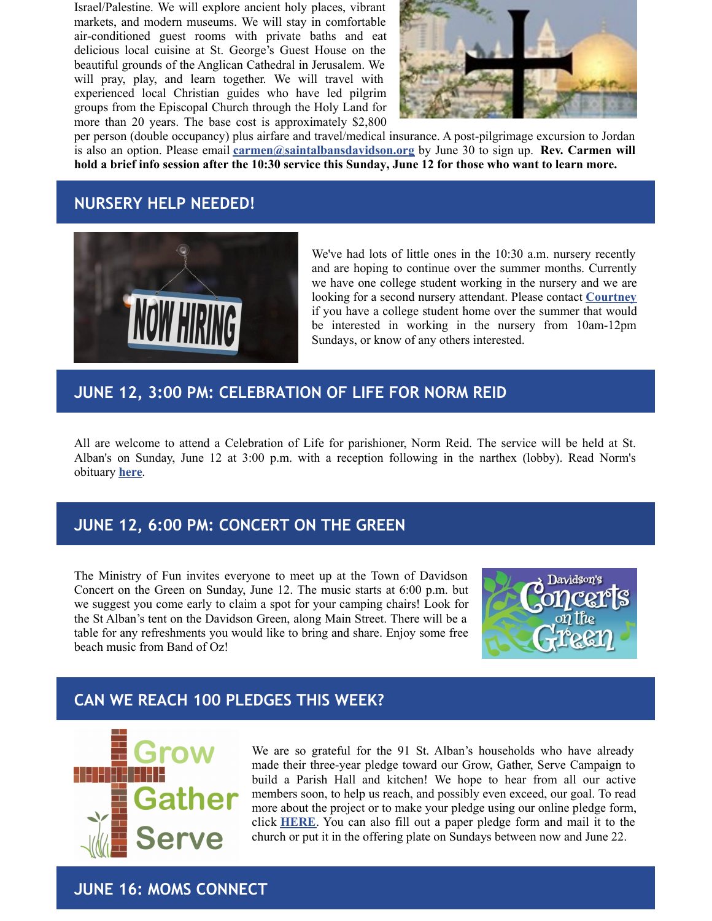Israel/Palestine. We will explore ancient holy places, vibrant markets, and modern museums. We will stay in comfortable air-conditioned guest rooms with private baths and eat delicious local cuisine at St. George's Guest House on the beautiful grounds of the Anglican Cathedral in Jerusalem. We will pray, play, and learn together. We will travel with experienced local Christian guides who have led pilgrim groups from the Episcopal Church through the Holy Land for more than 20 years. The base cost is approximately \$2,800



per person (double occupancy) plus airfare and travel/medical insurance. A post-pilgrimage excursion to Jordan is also an option. Please email **[carmen@saintalbansdavidson.org](mailto:carmen@saintalbansdavidson.org)** by June 30 to sign up. **Rev. Carmen will** hold a brief info session after the 10:30 service this Sunday, June 12 for those who want to learn more.

## **NURSERY HELP NEEDED!**



We've had lots of little ones in the 10:30 a.m. nursery recently and are hoping to continue over the summer months. Currently we have one college student working in the nursery and we are looking for a second nursery attendant. Please contact **[Courtney](mailto:courtney@saintalbansdavidson.org)** if you have a college student home over the summer that would be interested in working in the nursery from 10am-12pm Sundays, or know of any others interested.

## **JUNE 12, 3:00 PM: CELEBRATION OF LIFE FOR NORM REID**

All are welcome to attend a Celebration of Life for parishioner, Norm Reid. The service will be held at St. Alban's on Sunday, June 12 at 3:00 p.m. with a reception following in the narthex (lobby). Read Norm's obituary **[here](https://www.legacy.com/us/obituaries/name/norman-reid-obituary?id=35062858)**.

## **JUNE 12, 6:00 PM: CONCERT ON THE GREEN**

The Ministry of Fun invites everyone to meet up at the Town of Davidson Concert on the Green on Sunday, June 12. The music starts at 6:00 p.m. but we suggest you come early to claim a spot for your camping chairs! Look for the St Alban's tent on the Davidson Green, along Main Street. There will be a table for any refreshments you would like to bring and share. Enjoy some free beach music from Band of Oz!



## **CAN WE REACH 100 PLEDGES THIS WEEK?**



We are so grateful for the 91 St. Alban's households who have already made their three-year pledge toward our Grow, Gather, Serve Campaign to build a Parish Hall and kitchen! We hope to hear from all our active members soon, to help us reach, and possibly even exceed, our goal. To read more about the project or to make your pledge using our online pledge form, click **[HERE](https://r20.rs6.net/tn.jsp?f=001CksUPFhJ4MMYYoCie3UPURVH7IGJhzaoUpmM3C-UQh2e9V7AaMa8YEqe7L89dSTn4JPUOc3Hc2UzXHTQlrA620-_R84tTbqiihiPRaio66_mR3gKR50AnKCrzkQ3WveXx9frX0LL5xvNaiyk5lOGzW_52RyLfPLCatodXx4u6pwvzAko9wTMONO0aNrbPYu1&c=MqC0XmAQ7POrPZ4zYIjmIABGgXNxSefa253rTwqodotny58cQhUA3Q==&ch=hmSulas4mJgruycep1GKqvQ_lQSAVNx0vQ4LXUmEYyyECg8qmiYglQ==)**. You can also fill out a paper pledge form and mail it to the church or put it in the offering plate on Sundays between now and June 22.

**JUNE 16: MOMS CONNECT**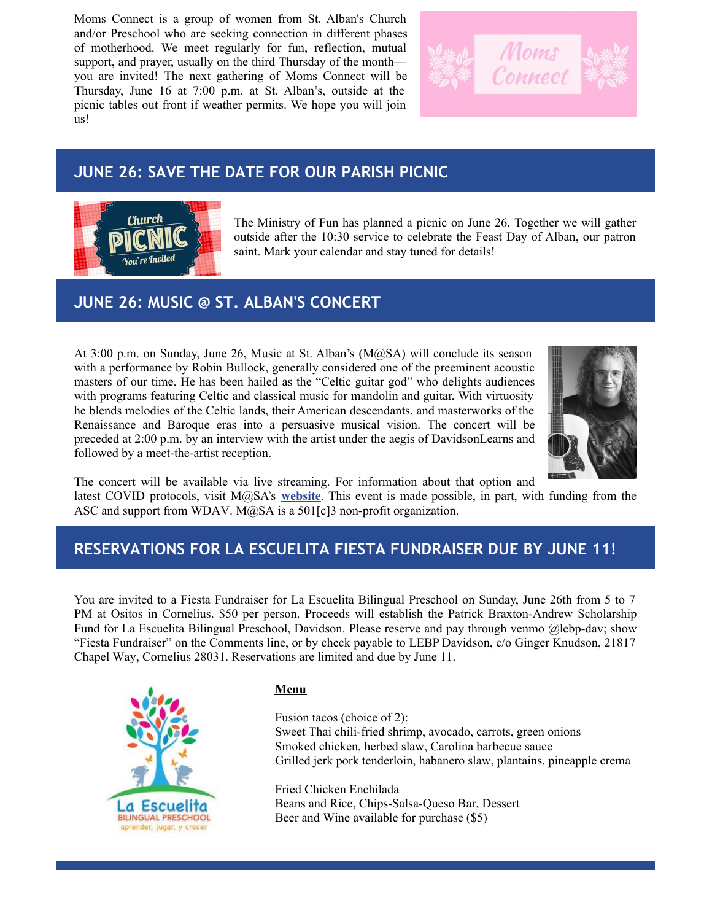Moms Connect is a group of women from St. Alban's Church and/or Preschool who are seeking connection in different phases of motherhood. We meet regularly for fun, reflection, mutual support, and prayer, usually on the third Thursday of the month you are invited! The next gathering of Moms Connect will be Thursday, June 16 at 7:00 p.m. at St. Alban's, outside at the picnic tables out front if weather permits. We hope you will join us!



## **JUNE 26: SAVE THE DATE FOR OUR PARISH PICNIC**



The Ministry of Fun has planned a picnic on June 26. Together we will gather outside after the 10:30 service to celebrate the Feast Day of Alban, our patron saint. Mark your calendar and stay tuned for details!

# **JUNE 26: MUSIC @ ST. ALBAN'S CONCERT**

At 3:00 p.m. on Sunday, June 26, Music at St. Alban's (M@SA) will conclude its season with a performance by Robin Bullock, generally considered one of the preeminent acoustic masters of our time. He has been hailed as the "Celtic guitar god" who delights audiences with programs featuring Celtic and classical music for mandolin and guitar. With virtuosity he blends melodies of the Celtic lands, their American descendants, and masterworks of the Renaissance and Baroque eras into a persuasive musical vision. The concert will be preceded at 2:00 p.m. by an interview with the artist under the aegis of DavidsonLearns and followed by a meet-the-artist reception.



The concert will be available via live streaming. For information about that option and

latest COVID protocols, visit M@SA's **[website](http://www.musicatstalbansdavidson.org)**. This event is made possible, in part, with funding from the ASC and support from WDAV. M@SA is a 501[c]3 non-profit organization.

# **RESERVATIONS FOR LA ESCUELITA FIESTA FUNDRAISER DUE BY JUNE 11!**

You are invited to a Fiesta Fundraiser for La Escuelita Bilingual Preschool on Sunday, June 26th from 5 to 7 PM at Ositos in Cornelius. \$50 per person. Proceeds will establish the Patrick Braxton-Andrew Scholarship Fund for La Escuelita Bilingual Preschool, Davidson. Please reserve and pay through venmo @lebp-dav; show "Fiesta Fundraiser" on the Comments line, or by check payable to LEBP Davidson, c/o Ginger Knudson, 21817 Chapel Way, Cornelius 28031. Reservations are limited and due by June 11.



### **Menu**

Fusion tacos (choice of 2): Sweet Thai chili-fried shrimp, avocado, carrots, green onions Smoked chicken, herbed slaw, Carolina barbecue sauce Grilled jerk pork tenderloin, habanero slaw, plantains, pineapple crema

Fried Chicken Enchilada Beans and Rice, Chips-Salsa-Queso Bar, Dessert Beer and Wine available for purchase (\$5)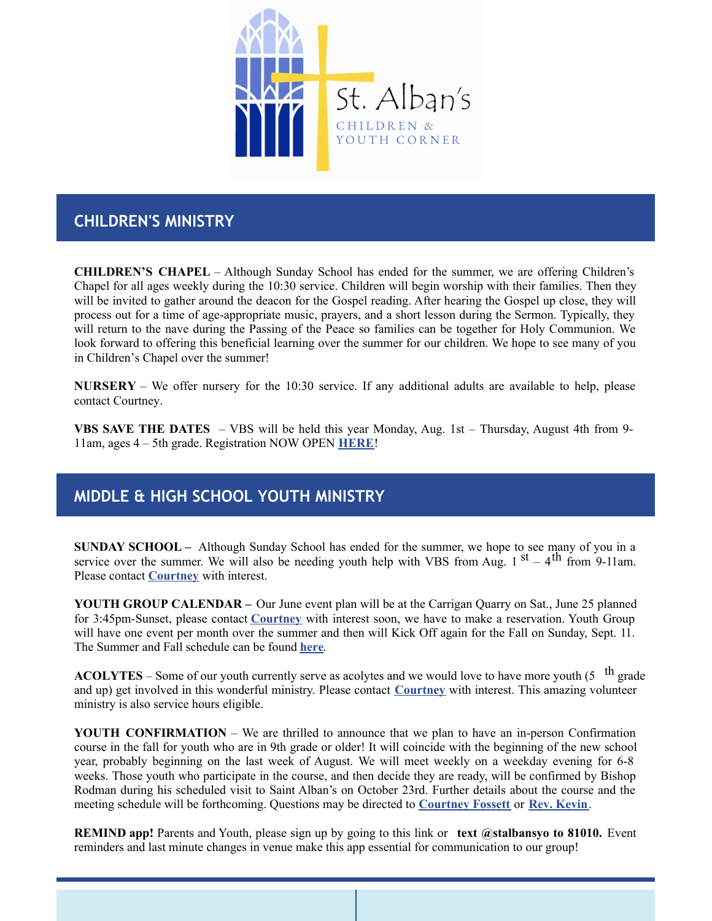

## **CHILDREN'S MINISTRY**

**CHILDREN'S CHAPEL** – Although Sunday School has ended for the summer, we are offering Children's Chapel for all ages weekly during the 10:30 service. Children will begin worship with their families. Then they will be invited to gather around the deacon for the Gospel reading. After hearing the Gospel up close, they will process out for a time of age-appropriate music, prayers, and a short lesson during the Sermon. Typically, they will return to the nave during the Passing of the Peace so families can be together for Holy Communion. We look forward to offering this beneficial learning over the summer for our children. We hope to see many of you in Children's Chapel over the summer!

**NURSERY** – We offer nursery for the 10:30 service. If any additional adults are available to help, please contact Courtney.

**VBS SAVE THE DATES** – VBS will be held this year Monday, Aug. 1st – Thursday, August 4th from 9- 11am, ages 4 – 5th grade. Registration NOW OPEN **[HERE](https://docs.google.com/forms/d/e/1FAIpQLSe07b4Wd9hWCwyk4CM5P8UrAMNW0Kk70LSDM9FDVDJLFY3HtA/viewform?vc=0&c=0&w=1&flr=0)**!

## **MIDDLE & HIGH SCHOOL YOUTH MINISTRY**

**SUNDAY SCHOOL –** Although Sunday School has ended for the summer, we hope to see many of you in a service over the summer. We will also be needing youth help with VBS from Aug.  $1^{st} - 4^{th}$  from 9-11am. Please contact **[Courtney](mailto:courtney@saintalbansdavidson.org)** with interest.

**YOUTH GROUP CALENDAR –** Our June event plan will be at the Carrigan Quarry on Sat., June 25 planned for 3:45pm-Sunset, please contact **[Courtney](mailto:courtney@saintalbansdavidson.org)** with interest soon, we have to make a reservation. Youth Group will have one event per month over the summer and then will Kick Off again for the Fall on Sunday, Sept. 11. The Summer and Fall schedule can be found **[here](https://files.constantcontact.com/17e9d018201/2a637353-31b9-4d4b-b453-5a9e1dc4f30c.docx?rdr=true)**.

**ACOLYTES** – Some of our youth currently serve as acolytes and we would love to have more youth (5  $\text{th}$  grade and up) get involved in this wonderful ministry. Please contact **[Courtney](mailto:courtney@saintalbansdavidson.org)** with interest. This amazing volunteer ministry is also service hours eligible.

**YOUTH CONFIRMATION** – We are thrilled to announce that we plan to have an in-person Confirmation course in the fall for youth who are in 9th grade or older! It will coincide with the beginning of the new school year, probably beginning on the last week of August. We will meet weekly on a weekday evening for 6-8 weeks. Those youth who participate in the course, and then decide they are ready, will be confirmed by Bishop Rodman during his scheduled visit to Saint Alban's on October 23rd. Further details about the course and the meeting schedule will be forthcoming. Questions may be directed to **[Courtney](mailto:courtney@saintalbansdavidson.org) Fossett** or **Rev. [Kevin](mailto:kevin@saintalbansdavidson.org)**.

**REMIND app!** Parents and Youth, please sign up by going to this link or **text @stalbansyo to 81010.** Event reminders and last minute changes in venue make this app essential for communication to our group!